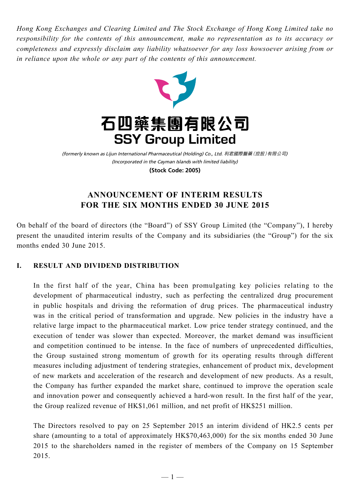*Hong Kong Exchanges and Clearing Limited and The Stock Exchange of Hong Kong Limited take no responsibility for the contents of this announcement, make no representation as to its accuracy or completeness and expressly disclaim any liability whatsoever for any loss howsoever arising from or in reliance upon the whole or any part of the contents of this announcement.*



(Incorporated in the Cayman Islands with limited liability) (formerly known as Lijun International Pharmaceutical (Holding) Co., Ltd. 利君國際醫藥(控股)有限公司) **(Stock Code: 2005)**

# **ANNOUNCEMENT OF INTERIM RESULTS FOR THE SIX MONTHS ENDED 30 JUNE 2015**

On behalf of the board of directors (the "Board") of SSY Group Limited (the "Company"), I hereby present the unaudited interim results of the Company and its subsidiaries (the "Group") for the six months ended 30 June 2015.

# **I. RESULT AND DIVIDEND DISTRIBUTION**

In the first half of the year, China has been promulgating key policies relating to the development of pharmaceutical industry, such as perfecting the centralized drug procurement in public hospitals and driving the reformation of drug prices. The pharmaceutical industry was in the critical period of transformation and upgrade. New policies in the industry have a relative large impact to the pharmaceutical market. Low price tender strategy continued, and the execution of tender was slower than expected. Moreover, the market demand was insufficient and competition continued to be intense. In the face of numbers of unprecedented difficulties, the Group sustained strong momentum of growth for its operating results through different measures including adjustment of tendering strategies, enhancement of product mix, development of new markets and acceleration of the research and development of new products. As a result, the Company has further expanded the market share, continued to improve the operation scale and innovation power and consequently achieved a hard-won result. In the first half of the year, the Group realized revenue of HK\$1,061 million, and net profit of HK\$251 million.

The Directors resolved to pay on 25 September 2015 an interim dividend of HK2.5 cents per share (amounting to a total of approximately HK\$70,463,000) for the six months ended 30 June 2015 to the shareholders named in the register of members of the Company on 15 September 2015.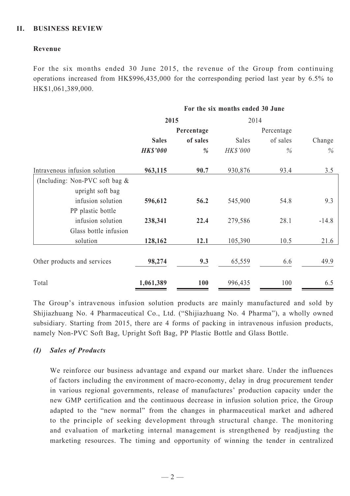# **II. BUSINESS REVIEW**

# **Revenue**

For the six months ended 30 June 2015, the revenue of the Group from continuing operations increased from HK\$996,435,000 for the corresponding period last year by 6.5% to HK\$1,061,389,000.

|                                                       | For the six months ended 30 June |            |                    |          |         |  |
|-------------------------------------------------------|----------------------------------|------------|--------------------|----------|---------|--|
|                                                       | 2015                             |            | 2014<br>Percentage |          |         |  |
|                                                       |                                  | Percentage |                    |          |         |  |
|                                                       | <b>Sales</b>                     | of sales   | Sales              | of sales | Change  |  |
|                                                       | <b>HK\$'000</b>                  | %          | HK\$'000           | $\%$     | $\%$    |  |
| Intravenous infusion solution                         | 963,115                          | 90.7       | 930,876            | 93.4     | 3.5     |  |
| (Including: Non-PVC soft bag $\&$<br>upright soft bag |                                  |            |                    |          |         |  |
| infusion solution                                     | 596,612                          | 56.2       | 545,900            | 54.8     | 9.3     |  |
| PP plastic bottle<br>infusion solution                | 238,341                          | 22.4       | 279,586            | 28.1     | $-14.8$ |  |
| Glass bottle infusion                                 |                                  |            |                    |          |         |  |
| solution                                              | 128,162                          | 12.1       | 105,390            | 10.5     | 21.6    |  |
| Other products and services                           | 98,274                           | 9.3        | 65,559             | 6.6      | 49.9    |  |
| Total                                                 | 1,061,389                        | 100        | 996,435            | 100      | 6.5     |  |

The Group's intravenous infusion solution products are mainly manufactured and sold by Shijiazhuang No. 4 Pharmaceutical Co., Ltd. ("Shijiazhuang No. 4 Pharma"), a wholly owned subsidiary. Starting from 2015, there are 4 forms of packing in intravenous infusion products, namely Non-PVC Soft Bag, Upright Soft Bag, PP Plastic Bottle and Glass Bottle.

# *(I) Sales of Products*

We reinforce our business advantage and expand our market share. Under the influences of factors including the environment of macro-economy, delay in drug procurement tender in various regional governments, release of manufactures' production capacity under the new GMP certification and the continuous decrease in infusion solution price, the Group adapted to the "new normal" from the changes in pharmaceutical market and adhered to the principle of seeking development through structural change. The monitoring and evaluation of marketing internal management is strengthened by readjusting the marketing resources. The timing and opportunity of winning the tender in centralized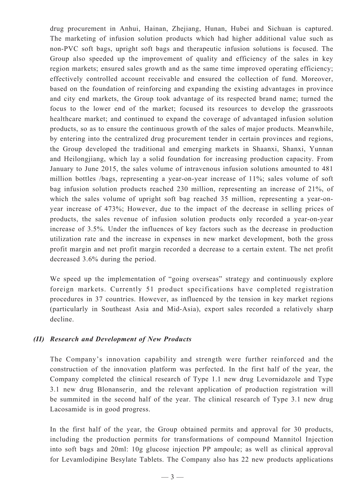drug procurement in Anhui, Hainan, Zhejiang, Hunan, Hubei and Sichuan is captured. The marketing of infusion solution products which had higher additional value such as non-PVC soft bags, upright soft bags and therapeutic infusion solutions is focused. The Group also speeded up the improvement of quality and efficiency of the sales in key region markets; ensured sales growth and as the same time improved operating efficiency; effectively controlled account receivable and ensured the collection of fund. Moreover, based on the foundation of reinforcing and expanding the existing advantages in province and city end markets, the Group took advantage of its respected brand name; turned the focus to the lower end of the market; focused its resources to develop the grassroots healthcare market; and continued to expand the coverage of advantaged infusion solution products, so as to ensure the continuous growth of the sales of major products. Meanwhile, by entering into the centralized drug procurement tender in certain provinces and regions, the Group developed the traditional and emerging markets in Shaanxi, Shanxi, Yunnan and Heilongjiang, which lay a solid foundation for increasing production capacity. From January to June 2015, the sales volume of intravenous infusion solutions amounted to 481 million bottles /bags, representing a year-on-year increase of 11%; sales volume of soft bag infusion solution products reached 230 million, representing an increase of 21%, of which the sales volume of upright soft bag reached 35 million, representing a year-onyear increase of 473%; However, due to the impact of the decrease in selling prices of products, the sales revenue of infusion solution products only recorded a year-on-year increase of 3.5%. Under the influences of key factors such as the decrease in production utilization rate and the increase in expenses in new market development, both the gross profit margin and net profit margin recorded a decrease to a certain extent. The net profit decreased 3.6% during the period.

We speed up the implementation of "going overseas" strategy and continuously explore foreign markets. Currently 51 product specifications have completed registration procedures in 37 countries. However, as influenced by the tension in key market regions (particularly in Southeast Asia and Mid-Asia), export sales recorded a relatively sharp decline.

# *(II) Research and Development of New Products*

The Company's innovation capability and strength were further reinforced and the construction of the innovation platform was perfected. In the first half of the year, the Company completed the clinical research of Type 1.1 new drug Levornidazole and Type 3.1 new drug Blonanserin¸ and the relevant application of production registration will be summited in the second half of the year. The clinical research of Type 3.1 new drug Lacosamide is in good progress.

In the first half of the year, the Group obtained permits and approval for 30 products, including the production permits for transformations of compound Mannitol Injection into soft bags and 20ml: 10g glucose injection PP ampoule; as well as clinical approval for Levamlodipine Besylate Tablets. The Company also has 22 new products applications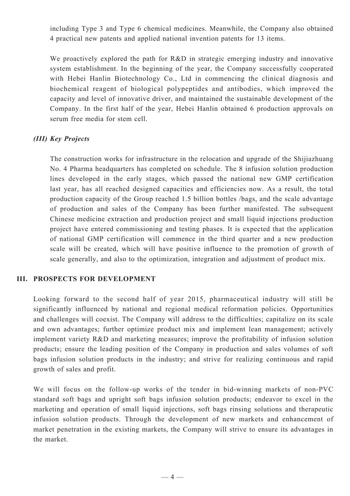including Type 3 and Type 6 chemical medicines. Meanwhile, the Company also obtained 4 practical new patents and applied national invention patents for 13 items.

We proactively explored the path for R&D in strategic emerging industry and innovative system establishment. In the beginning of the year, the Company successfully cooperated with Hebei Hanlin Biotechnology Co., Ltd in commencing the clinical diagnosis and biochemical reagent of biological polypeptides and antibodies, which improved the capacity and level of innovative driver, and maintained the sustainable development of the Company. In the first half of the year, Hebei Hanlin obtained 6 production approvals on serum free media for stem cell.

# *(III) Key Projects*

The construction works for infrastructure in the relocation and upgrade of the Shijiazhuang No. 4 Pharma headquarters has completed on schedule. The 8 infusion solution production lines developed in the early stages, which passed the national new GMP certification last year, has all reached designed capacities and efficiencies now. As a result, the total production capacity of the Group reached 1.5 billion bottles /bags, and the scale advantage of production and sales of the Company has been further manifested. The subsequent Chinese medicine extraction and production project and small liquid injections production project have entered commissioning and testing phases. It is expected that the application of national GMP certification will commence in the third quarter and a new production scale will be created, which will have positive influence to the promotion of growth of scale generally, and also to the optimization, integration and adjustment of product mix.

# **III. PROSPECTS FOR DEVELOPMENT**

Looking forward to the second half of year 2015, pharmaceutical industry will still be significantly influenced by national and regional medical reformation policies. Opportunities and challenges will coexist. The Company will address to the difficulties; capitalize on its scale and own advantages; further optimize product mix and implement lean management; actively implement variety R&D and marketing measures; improve the profitability of infusion solution products; ensure the leading position of the Company in production and sales volumes of soft bags infusion solution products in the industry; and strive for realizing continuous and rapid growth of sales and profit.

We will focus on the follow-up works of the tender in bid-winning markets of non-PVC standard soft bags and upright soft bags infusion solution products; endeavor to excel in the marketing and operation of small liquid injections, soft bags rinsing solutions and therapeutic infusion solution products. Through the development of new markets and enhancement of market penetration in the existing markets, the Company will strive to ensure its advantages in the market.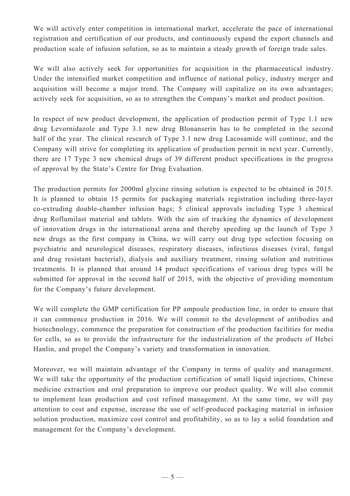We will actively enter competition in international market, accelerate the pace of international registration and certification of our products, and continuously expand the export channels and production scale of infusion solution, so as to maintain a steady growth of foreign trade sales.

We will also actively seek for opportunities for acquisition in the pharmaceutical industry. Under the intensified market competition and influence of national policy, industry merger and acquisition will become a major trend. The Company will capitalize on its own advantages; actively seek for acquisition, so as to strengthen the Company's market and product position.

In respect of new product development, the application of production permit of Type 1.1 new drug Levornidazole and Type 3.1 new drug Blonanserin has to be completed in the second half of the year. The clinical research of Type 3.1 new drug Lacosamide will continue, and the Company will strive for completing its application of production permit in next year. Currently, there are 17 Type 3 new chemical drugs of 39 different product specifications in the progress of approval by the State's Centre for Drug Evaluation.

The production permits for 2000ml glycine rinsing solution is expected to be obtained in 2015. It is planned to obtain 15 permits for packaging materials registration including three-layer co-extruding double-chamber infusion bags; 5 clinical approvals including Type 3 chemical drug Roflumilast material and tablets. With the aim of tracking the dynamics of development of innovation drugs in the international arena and thereby speeding up the launch of Type 3 new drugs as the first company in China, we will carry out drug type selection focusing on psychiatric and neurological diseases, respiratory diseases, infectious diseases (viral, fungal and drug resistant bacterial), dialysis and auxiliary treatment, rinsing solution and nutritious treatments. It is planned that around 14 product specifications of various drug types will be submitted for approval in the second half of 2015, with the objective of providing momentum for the Company's future development.

We will complete the GMP certification for PP ampoule production line, in order to ensure that it can commence production in 2016. We will commit to the development of antibodies and biotechnology, commence the preparation for construction of the production facilities for media for cells, so as to provide the infrastructure for the industrialization of the products of Hebei Hanlin, and propel the Company's variety and transformation in innovation.

Moreover, we will maintain advantage of the Company in terms of quality and management. We will take the opportunity of the production certification of small liquid injections, Chinese medicine extraction and oral preparation to improve our product quality. We will also commit to implement lean production and cost refined management. At the same time, we will pay attention to cost and expense, increase the use of self-produced packaging material in infusion solution production, maximize cost control and profitability, so as to lay a solid foundation and management for the Company's development.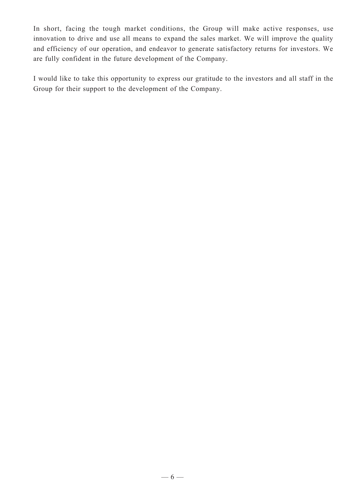In short, facing the tough market conditions, the Group will make active responses, use innovation to drive and use all means to expand the sales market. We will improve the quality and efficiency of our operation, and endeavor to generate satisfactory returns for investors. We are fully confident in the future development of the Company.

I would like to take this opportunity to express our gratitude to the investors and all staff in the Group for their support to the development of the Company.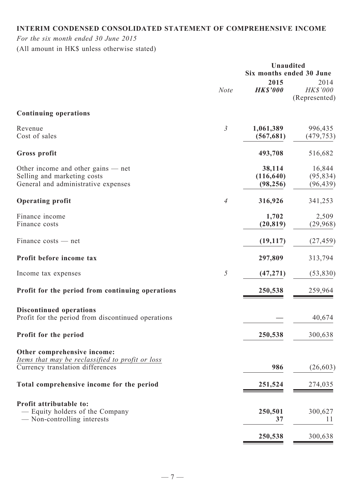# **Interim condensed consolidated statement of comprehensive income**

# *For the six month ended 30 June 2015*

(All amount in HK\$ unless otherwise stated)

|                                                    |                          |                 | Unaudited                        |
|----------------------------------------------------|--------------------------|-----------------|----------------------------------|
|                                                    |                          | 2015            | Six months ended 30 June<br>2014 |
|                                                    | <b>Note</b>              | <b>HK\$'000</b> | HK\$'000                         |
|                                                    |                          |                 | (Represented)                    |
| <b>Continuing operations</b>                       |                          |                 |                                  |
| Revenue                                            | $\mathfrak{Z}$           | 1,061,389       | 996,435                          |
| Cost of sales                                      |                          | (567, 681)      | (479, 753)                       |
| Gross profit                                       |                          | 493,708         | 516,682                          |
| Other income and other gains $-$ net               |                          | 38,114          | 16,844                           |
| Selling and marketing costs                        |                          | (116, 640)      | (95, 834)                        |
| General and administrative expenses                |                          | (98, 256)       | (96, 439)                        |
| <b>Operating profit</b>                            | $\overline{\mathcal{A}}$ | 316,926         | 341,253                          |
| Finance income                                     |                          | 1,702           | 2,509                            |
| Finance costs                                      |                          | (20, 819)       | (29,968)                         |
| Finance costs — net                                |                          | (19, 117)       | (27, 459)                        |
| Profit before income tax                           |                          | 297,809         | 313,794                          |
| Income tax expenses                                | $\sqrt{2}$               | (47, 271)       | (53, 830)                        |
| Profit for the period from continuing operations   |                          | 250,538         | 259,964                          |
| <b>Discontinued operations</b>                     |                          |                 |                                  |
| Profit for the period from discontinued operations |                          |                 | 40,674                           |
| Profit for the period                              |                          | 250,538         | 300,638                          |
| Other comprehensive income:                        |                          |                 |                                  |
| Items that may be reclassified to profit or loss   |                          |                 |                                  |
| Currency translation differences                   |                          | 986             | (26, 603)                        |
| Total comprehensive income for the period          |                          | 251,524         | 274,035                          |
| Profit attributable to:                            |                          |                 |                                  |
| — Equity holders of the Company                    |                          | 250,501         | 300,627                          |
| — Non-controlling interests                        |                          | 37              | 11                               |
|                                                    |                          | 250,538         | 300,638                          |
|                                                    |                          |                 |                                  |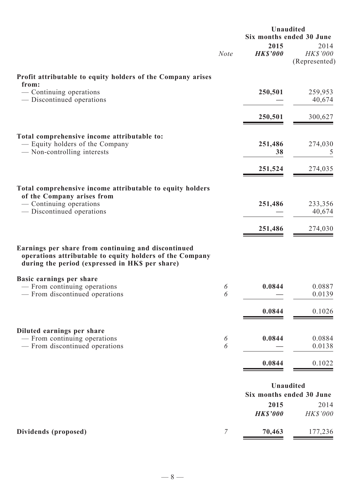|                                                                                                                                                                    |                | Unaudited<br>Six months ended 30 June |                                       |
|--------------------------------------------------------------------------------------------------------------------------------------------------------------------|----------------|---------------------------------------|---------------------------------------|
|                                                                                                                                                                    | <b>Note</b>    | 2015<br><b>HK\$'000</b>               | 2014<br>HK\$'000<br>(Represented)     |
| Profit attributable to equity holders of the Company arises<br>from:                                                                                               |                |                                       |                                       |
| — Continuing operations<br>— Discontinued operations                                                                                                               |                | 250,501                               | 259,953<br>40,674                     |
|                                                                                                                                                                    |                | 250,501                               | 300,627                               |
| Total comprehensive income attributable to:<br>— Equity holders of the Company<br>— Non-controlling interests                                                      |                | 251,486<br>38                         | 274,030                               |
|                                                                                                                                                                    |                | 251,524                               | 274,035                               |
| Total comprehensive income attributable to equity holders<br>of the Company arises from                                                                            |                |                                       |                                       |
| — Continuing operations<br>— Discontinued operations                                                                                                               |                | 251,486                               | 233,356<br>40,674                     |
|                                                                                                                                                                    |                | 251,486                               | 274,030                               |
| Earnings per share from continuing and discontinued<br>operations attributable to equity holders of the Company<br>during the period (expressed in HK\$ per share) |                |                                       |                                       |
| Basic earnings per share<br>- From continuing operations<br>— From discontinued operations                                                                         | 6<br>6         | 0.0844                                | 0.0887<br>0.0139                      |
|                                                                                                                                                                    |                | 0.0844                                | 0.1026                                |
| Diluted earnings per share                                                                                                                                         |                |                                       |                                       |
| — From continuing operations<br>— From discontinued operations                                                                                                     | 6<br>6         | 0.0844                                | 0.0884<br>0.0138                      |
|                                                                                                                                                                    |                | 0.0844                                | 0.1022                                |
|                                                                                                                                                                    |                |                                       | Unaudited<br>Six months ended 30 June |
|                                                                                                                                                                    |                | 2015<br><b>HK\$'000</b>               | 2014<br>HK\$'000                      |
| Dividends (proposed)                                                                                                                                               | $\overline{7}$ | 70,463                                | 177,236                               |

 $-8 -$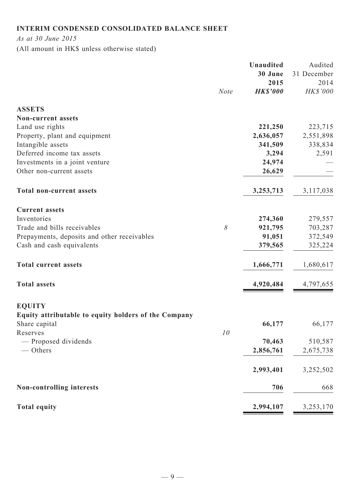# **Interim condensed consolidated balance sheet**

*As at 30 June 2015*

(All amount in HK\$ unless otherwise stated)

|                                                      |             | <b>Unaudited</b> | Audited     |
|------------------------------------------------------|-------------|------------------|-------------|
|                                                      |             | 30 June          | 31 December |
|                                                      |             | 2015             | 2014        |
|                                                      | <b>Note</b> | <b>HK\$'000</b>  | HK\$'000    |
| <b>ASSETS</b>                                        |             |                  |             |
| <b>Non-current assets</b>                            |             |                  |             |
| Land use rights                                      |             | 221,250          | 223,715     |
| Property, plant and equipment                        |             | 2,636,057        | 2,551,898   |
| Intangible assets                                    |             | 341,509          | 338,834     |
| Deferred income tax assets                           |             | 3,294            | 2,591       |
| Investments in a joint venture                       |             | 24,974           |             |
| Other non-current assets                             |             | 26,629           |             |
|                                                      |             |                  |             |
| <b>Total non-current assets</b>                      |             | 3,253,713        | 3,117,038   |
| <b>Current assets</b>                                |             |                  |             |
| Inventories                                          |             | 274,360          | 279,557     |
| Trade and bills receivables                          | $\delta$    | 921,795          | 703,287     |
| Prepayments, deposits and other receivables          |             | 91,051           | 372,549     |
| Cash and cash equivalents                            |             | 379,565          | 325,224     |
| <b>Total current assets</b>                          |             | 1,666,771        | 1,680,617   |
| <b>Total assets</b>                                  |             | 4,920,484        | 4,797,655   |
| <b>EQUITY</b>                                        |             |                  |             |
| Equity attributable to equity holders of the Company |             |                  |             |
| Share capital                                        |             | 66,177           | 66,177      |
| Reserves                                             | 10          |                  |             |
| - Proposed dividends                                 |             | 70,463           | 510,587     |
| $-$ Others                                           |             | 2,856,761        | 2,675,738   |
|                                                      |             |                  |             |
|                                                      |             | 2,993,401        | 3,252,502   |
| Non-controlling interests                            |             | 706              | 668         |
| <b>Total equity</b>                                  |             | 2,994,107        | 3,253,170   |
|                                                      |             |                  |             |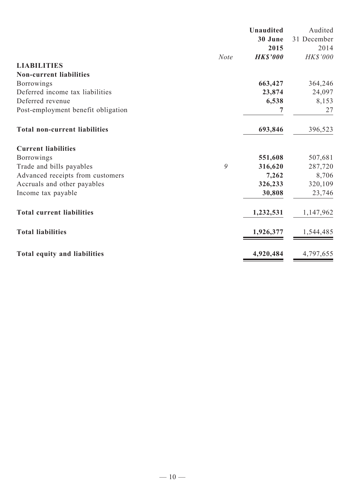|                                      |             | <b>Unaudited</b> | Audited     |
|--------------------------------------|-------------|------------------|-------------|
|                                      |             | 30 June          | 31 December |
|                                      |             | 2015             | 2014        |
|                                      | <b>Note</b> | <b>HK\$'000</b>  | HK\$'000    |
| <b>LIABILITIES</b>                   |             |                  |             |
| <b>Non-current liabilities</b>       |             |                  |             |
| <b>Borrowings</b>                    |             | 663,427          | 364,246     |
| Deferred income tax liabilities      |             | 23,874           | 24,097      |
| Deferred revenue                     |             | 6,538            | 8,153       |
| Post-employment benefit obligation   |             | 7                | 27          |
| <b>Total non-current liabilities</b> |             | 693,846          | 396,523     |
| <b>Current liabilities</b>           |             |                  |             |
| <b>Borrowings</b>                    |             | 551,608          | 507,681     |
| Trade and bills payables             | 9           | 316,620          | 287,720     |
| Advanced receipts from customers     |             | 7,262            | 8,706       |
| Accruals and other payables          |             | 326,233          | 320,109     |
| Income tax payable                   |             | 30,808           | 23,746      |
| <b>Total current liabilities</b>     |             | 1,232,531        | 1,147,962   |
| <b>Total liabilities</b>             |             | 1,926,377        | 1,544,485   |
| <b>Total equity and liabilities</b>  |             | 4,920,484        | 4,797,655   |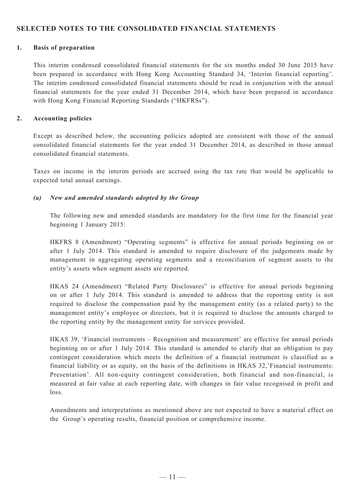# **SELECTED NOTES TO THE CONSOLIDATED FINANCIAL STATEMENTS**

### **1. Basis of preparation**

This interim condensed consolidated financial statements for the six months ended 30 June 2015 have been prepared in accordance with Hong Kong Accounting Standard 34, 'Interim financial reporting'. The interim condensed consolidated financial statements should be read in conjunction with the annual financial statements for the year ended 31 December 2014, which have been prepared in accordance with Hong Kong Financial Reporting Standards ("HKFRSs").

### **2. Accounting policies**

Except as described below, the accounting policies adopted are consistent with those of the annual consolidated financial statements for the year ended 31 December 2014, as described in those annual consolidated financial statements.

Taxes on income in the interim periods are accrued using the tax rate that would be applicable to expected total annual earnings.

### *(a) New and amended standards adopted by the Group*

The following new and amended standards are mandatory for the first time for the financial year beginning 1 January 2015:

HKFRS 8 (Amendment) "Operating segments" is effective for annual periods beginning on or after 1 July 2014. This standard is amended to require disclosure of the judgements made by management in aggregating operating segments and a reconciliation of segment assets to the entity's assets when segment assets are reported.

HKAS 24 (Amendment) "Related Party Disclosures" is effective for annual periods beginning on or after 1 July 2014. This standard is amended to address that the reporting entity is not required to disclose the compensation paid by the management entity (as a related party) to the management entity's employee or directors, but it is required to disclose the amounts charged to the reporting entity by the management entity for services provided.

HKAS 39, 'Financial instruments – Recognition and measurement' are effective for annual periods beginning on or after 1 July 2014. This standard is amended to clarify that an obligation to pay contingent consideration which meets the definition of a financial instrument is classified as a financial liability or as equity, on the basis of the definitions in HKAS 32,'Financial instruments: Presentation'. All non-equity contingent consideration, both financial and non-financial, is measured at fair value at each reporting date, with changes in fair value recognised in profit and loss.

Amendments and interpretations as mentioned above are not expected to have a material effect on the Group's operating results, financial position or comprehensive income.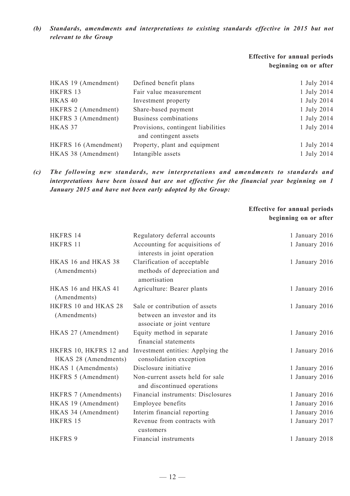*(b) Standards, amendments and interpretations to existing standards effective in 2015 but not relevant to the Group*

# **Effective for annual periods beginning on or after**

| HKAS 19 (Amendment)  | Defined benefit plans              | 1 July 2014 |
|----------------------|------------------------------------|-------------|
| HKFRS 13             | Fair value measurement             | 1 July 2014 |
| HKAS <sub>40</sub>   | Investment property                | 1 July 2014 |
| HKFRS 2 (Amendment)  | Share-based payment                | 1 July 2014 |
| HKFRS 3 (Amendment)  | Business combinations              | 1 July 2014 |
| HKAS 37              | Provisions, contingent liabilities | 1 July 2014 |
|                      | and contingent assets              |             |
| HKFRS 16 (Amendment) | Property, plant and equipment      | 1 July 2014 |
| HKAS 38 (Amendment)  | Intangible assets                  | 1 July 2014 |

*(c) The following new standards, new interpretations and amendments to standards and interpretations have been issued but are not effective for the financial year beginning on 1 January 2015 and have not been early adopted by the Group:*

# **Effective for annual periods beginning on or after**

| HKFRS 14                                       | Regulatory deferral accounts                                                                | 1 January 2016 |
|------------------------------------------------|---------------------------------------------------------------------------------------------|----------------|
| HKFRS 11                                       | Accounting for acquisitions of<br>interests in joint operation                              | 1 January 2016 |
| HKAS 16 and HKAS 38<br>(Amendments)            | Clarification of acceptable<br>methods of depreciation and<br>amortisation                  | 1 January 2016 |
| HKAS 16 and HKAS 41<br>(Amendments)            | Agriculture: Bearer plants                                                                  | 1 January 2016 |
| HKFRS 10 and HKAS 28<br>(Amendments)           | Sale or contribution of assets<br>between an investor and its<br>associate or joint venture | 1 January 2016 |
| HKAS 27 (Amendment)                            | Equity method in separate<br>financial statements                                           | 1 January 2016 |
| HKFRS 10, HKFRS 12 and<br>HKAS 28 (Amendments) | Investment entities: Applying the<br>consolidation exception                                | 1 January 2016 |
| HKAS 1 (Amendments)                            | Disclosure initiative                                                                       | 1 January 2016 |
| HKFRS 5 (Amendment)                            | Non-current assets held for sale<br>and discontinued operations                             | 1 January 2016 |
| HKFRS 7 (Amendments)                           | Financial instruments: Disclosures                                                          | 1 January 2016 |
| HKAS 19 (Amendment)                            | Employee benefits                                                                           | 1 January 2016 |
| HKAS 34 (Amendment)                            | Interim financial reporting                                                                 | 1 January 2016 |
| HKFRS 15                                       | Revenue from contracts with<br>customers                                                    | 1 January 2017 |
| <b>HKFRS 9</b>                                 | Financial instruments                                                                       | 1 January 2018 |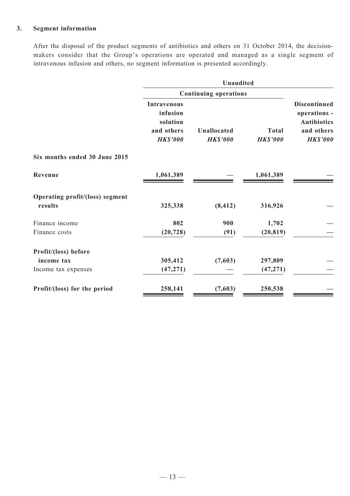# **3. Segment information**

After the disposal of the product segments of antibiotics and others on 31 October 2014, the decisionmakers consider that the Group's operations are operated and managed as a single segment of intravenous infusion and others, no segment information is presented accordingly.

|                                            | Unaudited                                                                   |                                       |                                 |                                                                                            |  |
|--------------------------------------------|-----------------------------------------------------------------------------|---------------------------------------|---------------------------------|--------------------------------------------------------------------------------------------|--|
|                                            |                                                                             | <b>Continuing operations</b>          |                                 |                                                                                            |  |
|                                            | <b>Intravenous</b><br>infusion<br>solution<br>and others<br><b>HK\$'000</b> | <b>Unallocated</b><br><b>HK\$'000</b> | <b>Total</b><br><b>HK\$'000</b> | <b>Discontinued</b><br>operations -<br><b>Antibiotics</b><br>and others<br><b>HK\$'000</b> |  |
| Six months ended 30 June 2015              |                                                                             |                                       |                                 |                                                                                            |  |
| Revenue                                    | 1,061,389                                                                   |                                       | 1,061,389                       |                                                                                            |  |
| Operating profit/(loss) segment<br>results | 325,338                                                                     | (8, 412)                              | 316,926                         |                                                                                            |  |
| Finance income                             | 802                                                                         | 900                                   | 1,702                           |                                                                                            |  |
| Finance costs                              | (20, 728)                                                                   | (91)                                  | (20, 819)                       |                                                                                            |  |
| Profit/(loss) before                       |                                                                             |                                       |                                 |                                                                                            |  |
| income tax                                 | 305,412                                                                     | (7,603)                               | 297,809                         |                                                                                            |  |
| Income tax expenses                        | (47, 271)                                                                   |                                       | (47, 271)                       |                                                                                            |  |
| Profit/(loss) for the period               | 258,141                                                                     | (7,603)                               | 250,538                         |                                                                                            |  |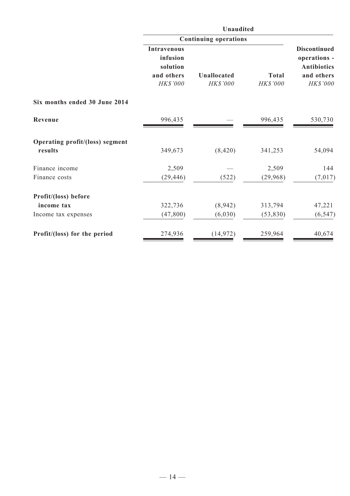|                                 | Unaudited                                                            |                                |                          |                                                                                     |
|---------------------------------|----------------------------------------------------------------------|--------------------------------|--------------------------|-------------------------------------------------------------------------------------|
|                                 |                                                                      | <b>Continuing operations</b>   |                          | <b>Discontinued</b><br>operations -<br><b>Antibiotics</b><br>and others<br>HK\$'000 |
|                                 | <b>Intravenous</b><br>infusion<br>solution<br>and others<br>HK\$'000 | <b>Unallocated</b><br>HK\$'000 | <b>Total</b><br>HK\$'000 |                                                                                     |
| Six months ended 30 June 2014   |                                                                      |                                |                          |                                                                                     |
| Revenue                         | 996,435                                                              |                                | 996,435                  | 530,730                                                                             |
| Operating profit/(loss) segment |                                                                      |                                |                          |                                                                                     |
| results                         | 349,673                                                              | (8, 420)                       | 341,253                  | 54,094                                                                              |
| Finance income                  | 2,509                                                                |                                | 2,509                    | 144                                                                                 |
| Finance costs                   | (29, 446)                                                            | (522)                          | (29, 968)                | (7, 017)                                                                            |
| Profit/(loss) before            |                                                                      |                                |                          |                                                                                     |
| income tax                      | 322,736                                                              | (8,942)                        | 313,794                  | 47,221                                                                              |
| Income tax expenses             | (47, 800)                                                            | (6,030)                        | (53, 830)                | (6, 547)                                                                            |
| Profit/(loss) for the period    | 274,936                                                              | (14, 972)                      | 259,964                  | 40,674                                                                              |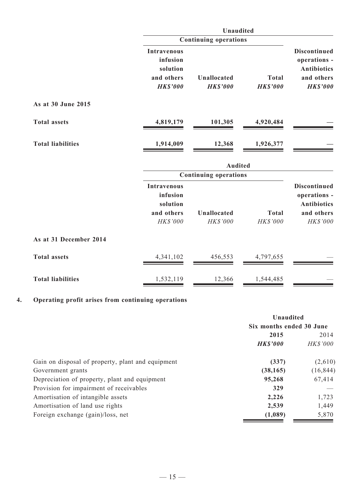|                          |                                                                             | Unaudited                      |                                 |                                                                                            |
|--------------------------|-----------------------------------------------------------------------------|--------------------------------|---------------------------------|--------------------------------------------------------------------------------------------|
|                          |                                                                             | <b>Continuing operations</b>   |                                 |                                                                                            |
|                          | <b>Intravenous</b><br>infusion<br>solution<br>and others<br><b>HK\$'000</b> | Unallocated<br><b>HK\$'000</b> | <b>Total</b><br><b>HK\$'000</b> | <b>Discontinued</b><br>operations -<br><b>Antibiotics</b><br>and others<br><b>HK\$'000</b> |
| As at 30 June 2015       |                                                                             |                                |                                 |                                                                                            |
| <b>Total assets</b>      | 4,819,179                                                                   | 101,305                        | 4,920,484                       |                                                                                            |
| <b>Total liabilities</b> | 1,914,009                                                                   | 12,368                         | 1,926,377                       |                                                                                            |
|                          |                                                                             | <b>Audited</b>                 |                                 |                                                                                            |
|                          |                                                                             | <b>Continuing operations</b>   |                                 |                                                                                            |
|                          | <b>Intravenous</b><br>infusion<br>solution<br>and others<br>HK\$'000        | <b>Unallocated</b><br>HK\$'000 | <b>Total</b><br>HK\$'000        | <b>Discontinued</b><br>operations -<br><b>Antibiotics</b><br>and others<br>HK\$'000        |
| As at 31 December 2014   |                                                                             |                                |                                 |                                                                                            |
| <b>Total assets</b>      | 4,341,102                                                                   | 456,553                        | 4,797,655                       |                                                                                            |
| <b>Total liabilities</b> | 1,532,119                                                                   | 12,366                         | 1,544,485                       |                                                                                            |

# **4. Operating profit arises from continuing operations**

|                                                   | Unaudited                |                 |  |
|---------------------------------------------------|--------------------------|-----------------|--|
|                                                   | Six months ended 30 June |                 |  |
|                                                   | 2015                     |                 |  |
|                                                   | <b>HK\$'000</b>          | <b>HK\$'000</b> |  |
| Gain on disposal of property, plant and equipment | (337)                    | (2,610)         |  |
| Government grants                                 | (38, 165)                | (16, 844)       |  |
| Depreciation of property, plant and equipment     | 95,268                   | 67,414          |  |
| Provision for impairment of receivables           | 329                      |                 |  |
| Amortisation of intangible assets                 | 2,226                    | 1,723           |  |
| Amortisation of land use rights                   | 2,539                    | 1,449           |  |
| Foreign exchange (gain)/loss, net                 | (1,089)                  | 5,870           |  |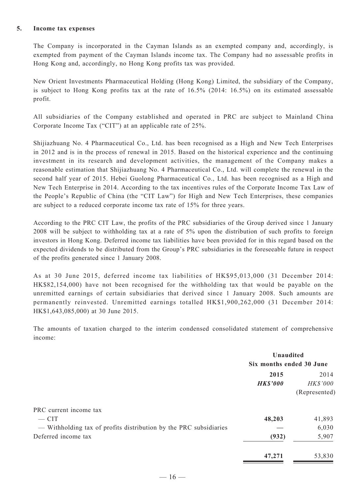### **5. Income tax expenses**

The Company is incorporated in the Cayman Islands as an exempted company and, accordingly, is exempted from payment of the Cayman Islands income tax. The Company had no assessable profits in Hong Kong and, accordingly, no Hong Kong profits tax was provided.

New Orient Investments Pharmaceutical Holding (Hong Kong) Limited, the subsidiary of the Company, is subject to Hong Kong profits tax at the rate of 16.5% (2014: 16.5%) on its estimated assessable profit.

All subsidiaries of the Company established and operated in PRC are subject to Mainland China Corporate Income Tax ("CIT") at an applicable rate of 25%.

Shijiazhuang No. 4 Pharmaceutical Co., Ltd. has been recognised as a High and New Tech Enterprises in 2012 and is in the process of renewal in 2015. Based on the historical experience and the continuing investment in its research and development activities, the management of the Company makes a reasonable estimation that Shijiazhuang No. 4 Pharmaceutical Co., Ltd. will complete the renewal in the second half year of 2015. Hebei Guolong Pharmaceutical Co., Ltd. has been recognised as a High and New Tech Enterprise in 2014. According to the tax incentives rules of the Corporate Income Tax Law of the People's Republic of China (the "CIT Law") for High and New Tech Enterprises, these companies are subject to a reduced corporate income tax rate of 15% for three years.

According to the PRC CIT Law, the profits of the PRC subsidiaries of the Group derived since 1 January 2008 will be subject to withholding tax at a rate of 5% upon the distribution of such profits to foreign investors in Hong Kong. Deferred income tax liabilities have been provided for in this regard based on the expected dividends to be distributed from the Group's PRC subsidiaries in the foreseeable future in respect of the profits generated since 1 January 2008.

As at 30 June 2015, deferred income tax liabilities of HK\$95,013,000 (31 December 2014: HK\$82,154,000) have not been recognised for the withholding tax that would be payable on the unremitted earnings of certain subsidiaries that derived since 1 January 2008. Such amounts are permanently reinvested. Unremitted earnings totalled HK\$1,900,262,000 (31 December 2014: HK\$1,643,085,000) at 30 June 2015.

The amounts of taxation charged to the interim condensed consolidated statement of comprehensive income:

|                                                                                          | <b>Unaudited</b><br>Six months ended 30 June |                                   |
|------------------------------------------------------------------------------------------|----------------------------------------------|-----------------------------------|
|                                                                                          | 2015<br><b>HK\$'000</b>                      | 2014<br>HK\$'000<br>(Represented) |
| PRC current income tax<br>$-$ CIT                                                        | 48,203                                       | 41,893                            |
| - Withholding tax of profits distribution by the PRC subsidiaries<br>Deferred income tax | (932)                                        | 6,030<br>5,907                    |
|                                                                                          | 47,271                                       | 53,830                            |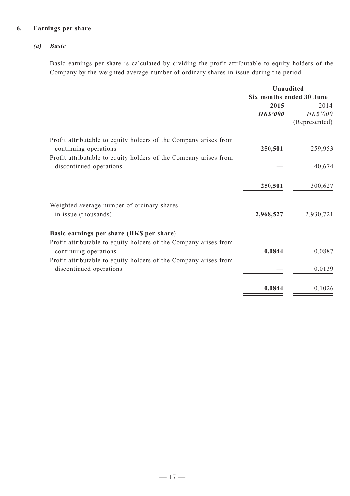# **6. Earnings per share**

# *(a) Basic*

Basic earnings per share is calculated by dividing the profit attributable to equity holders of the Company by the weighted average number of ordinary shares in issue during the period.

|                                                                                                                                                               | <b>Unaudited</b>         |                                   |
|---------------------------------------------------------------------------------------------------------------------------------------------------------------|--------------------------|-----------------------------------|
|                                                                                                                                                               | Six months ended 30 June |                                   |
|                                                                                                                                                               | 2015<br><b>HK\$'000</b>  | 2014<br>HK\$'000<br>(Represented) |
| Profit attributable to equity holders of the Company arises from<br>continuing operations<br>Profit attributable to equity holders of the Company arises from | 250,501                  | 259,953                           |
| discontinued operations                                                                                                                                       |                          | 40,674                            |
|                                                                                                                                                               | 250,501                  | 300,627                           |
| Weighted average number of ordinary shares<br>in issue (thousands)                                                                                            | 2,968,527                | 2,930,721                         |
| Basic earnings per share (HKS per share)                                                                                                                      |                          |                                   |
| Profit attributable to equity holders of the Company arises from<br>continuing operations                                                                     | 0.0844                   | 0.0887                            |
| Profit attributable to equity holders of the Company arises from<br>discontinued operations                                                                   |                          | 0.0139                            |
|                                                                                                                                                               | 0.0844                   | 0.1026                            |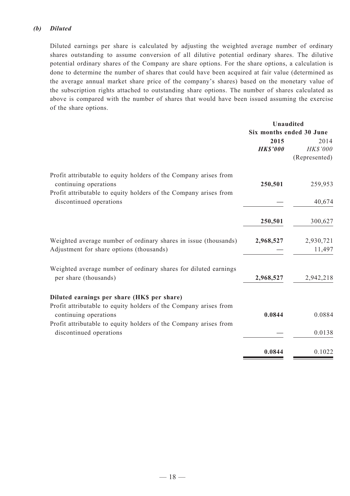### *(b) Diluted*

Diluted earnings per share is calculated by adjusting the weighted average number of ordinary shares outstanding to assume conversion of all dilutive potential ordinary shares. The dilutive potential ordinary shares of the Company are share options. For the share options, a calculation is done to determine the number of shares that could have been acquired at fair value (determined as the average annual market share price of the company's shares) based on the monetary value of the subscription rights attached to outstanding share options. The number of shares calculated as above is compared with the number of shares that would have been issued assuming the exercise of the share options.

|                          | Unaudited        |
|--------------------------|------------------|
| Six months ended 30 June |                  |
| 2015                     | 2014             |
| <b>HK\$'000</b>          | HK\$'000         |
|                          | (Represented)    |
| 250,501                  | 259,953          |
|                          | 40,674           |
| 250,501                  | 300,627          |
| 2,968,527                | 2,930,721        |
|                          | 11,497           |
|                          |                  |
| 2,968,527                | 2,942,218        |
|                          |                  |
|                          | 0.0884           |
|                          |                  |
|                          | 0.0138           |
|                          | 0.1022           |
|                          | 0.0844<br>0.0844 |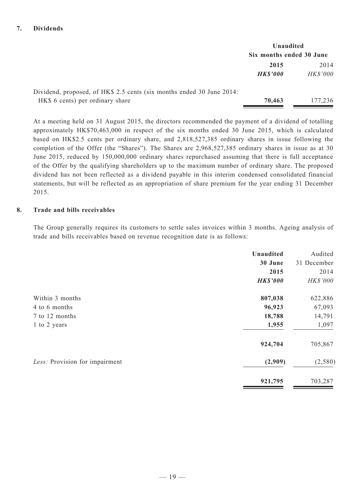|                                                                       | Unaudited                |                 |  |
|-----------------------------------------------------------------------|--------------------------|-----------------|--|
|                                                                       | Six months ended 30 June |                 |  |
|                                                                       | 2015                     | 2014            |  |
|                                                                       | <b>HK\$'000</b>          | <b>HK\$'000</b> |  |
| Dividend, proposed, of HK\$ 2.5 cents (six months ended 30 June 2014: |                          |                 |  |
| HK\$ 6 cents) per ordinary share                                      | 70,463                   | 177,236         |  |

At a meeting held on 31 August 2015, the directors recommended the payment of a dividend of totalling approximately HK\$70,463,000 in respect of the six months ended 30 June 2015, which is calculated based on HK\$2.5 cents per ordinary share, and 2,818,527,385 ordinary shares in issue following the completion of the Offer (the "Shares"). The Shares are 2,968,527,385 ordinary shares in issue as at 30 June 2015, reduced by 150,000,000 ordinary shares repurchased assuming that there is full acceptance of the Offer by the qualifying shareholders up to the maximum number of ordinary share. The proposed dividend has not been reflected as a dividend payable in this interim condensed consolidated financial statements, but will be reflected as an appropriation of share premium for the year ending 31 December 2015.

### **8. Trade and bills receivables**

The Group generally requires its customers to settle sales invoices within 3 months. Ageing analysis of trade and bills receivables based on revenue recognition date is as follows:

|                                | Unaudited<br>30 June<br>2015<br><b>HK\$'000</b> | Audited<br>31 December<br>2014<br>HK\$'000 |
|--------------------------------|-------------------------------------------------|--------------------------------------------|
| Within 3 months                | 807,038                                         | 622,886                                    |
| 4 to 6 months                  | 96,923                                          | 67,093                                     |
| 7 to 12 months                 | 18,788                                          | 14,791                                     |
| 1 to 2 years                   | 1,955                                           | 1,097                                      |
|                                | 924,704                                         | 705,867                                    |
| Less: Provision for impairment | (2,909)                                         | (2, 580)                                   |
|                                | 921,795                                         | 703,287                                    |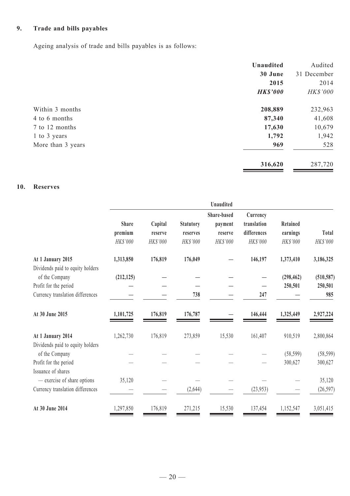# **9. Trade and bills payables**

Ageing analysis of trade and bills payables is as follows:

|                   | Unaudited       | Audited     |
|-------------------|-----------------|-------------|
|                   | 30 June         | 31 December |
|                   | 2015            | 2014        |
|                   | <b>HK\$'000</b> | HK\$'000    |
| Within 3 months   | 208,889         | 232,963     |
| 4 to 6 months     | 87,340          | 41,608      |
| 7 to 12 months    | 17,630          | 10,679      |
| 1 to 3 years      | 1,792           | 1,942       |
| More than 3 years | 969             | 528         |
|                   | 316,620         | 287,720     |

# **10. Reserves**

|                                                       |              |          |                  | <b>Unaudited</b>       |                         |            |            |
|-------------------------------------------------------|--------------|----------|------------------|------------------------|-------------------------|------------|------------|
|                                                       | <b>Share</b> | Capital  | <b>Statutory</b> | Share-based<br>payment | Currency<br>translation | Retained   |            |
|                                                       | premium      | reserve  | reserves         | reserve                | differences             | earnings   | Total      |
|                                                       | HK\$'000     | HK\$'000 | HK\$'000         | HK\$'000               | HK\$'000                | HK\$'000   | HK\$'000   |
| At 1 January 2015<br>Dividends paid to equity holders | 1,313,850    | 176,819  | 176,049          |                        | 146,197                 | 1,373,410  | 3,186,325  |
| of the Company                                        | (212, 125)   |          |                  |                        |                         | (298, 462) | (510, 587) |
| Profit for the period                                 |              |          |                  |                        |                         | 250,501    | 250,501    |
| Currency translation differences                      |              |          | 738              |                        | 247                     |            | 985        |
| At 30 June 2015                                       | 1,101,725    | 176,819  | 176,787          |                        | 146,444                 | 1,325,449  | 2,927,224  |
| At 1 January 2014                                     | 1,262,730    | 176,819  | 273,859          | 15,530                 | 161,407                 | 910,519    | 2,800,864  |
| Dividends paid to equity holders<br>of the Company    |              |          |                  |                        |                         | (58, 599)  | (58, 599)  |
| Profit for the period                                 |              |          |                  |                        |                         | 300,627    | 300,627    |
| Issuance of shares<br>- exercise of share options     | 35,120       |          |                  |                        |                         |            | 35,120     |
| Currency translation differences                      |              |          | (2,644)          |                        | (23,953)                |            | (26, 597)  |
|                                                       |              |          |                  |                        |                         |            |            |
| At 30 June 2014                                       | 1,297,850    | 176,819  | 271,215          | 15,530                 | 137,454                 | 1,152,547  | 3,051,415  |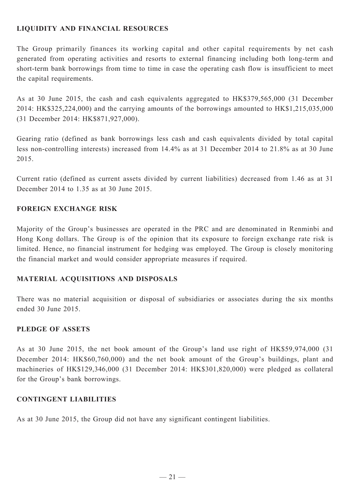# **LIQUIDITY AND FINANCIAL RESOURCES**

The Group primarily finances its working capital and other capital requirements by net cash generated from operating activities and resorts to external financing including both long-term and short-term bank borrowings from time to time in case the operating cash flow is insufficient to meet the capital requirements.

As at 30 June 2015, the cash and cash equivalents aggregated to HK\$379,565,000 (31 December 2014: HK\$325,224,000) and the carrying amounts of the borrowings amounted to HK\$1,215,035,000 (31 December 2014: HK\$871,927,000).

Gearing ratio (defined as bank borrowings less cash and cash equivalents divided by total capital less non-controlling interests) increased from 14.4% as at 31 December 2014 to 21.8% as at 30 June 2015.

Current ratio (defined as current assets divided by current liabilities) decreased from 1.46 as at 31 December 2014 to 1.35 as at 30 June 2015.

# **FOREIGN EXCHANGE RISK**

Majority of the Group's businesses are operated in the PRC and are denominated in Renminbi and Hong Kong dollars. The Group is of the opinion that its exposure to foreign exchange rate risk is limited. Hence, no financial instrument for hedging was employed. The Group is closely monitoring the financial market and would consider appropriate measures if required.

# **Material acquisitions and disposals**

There was no material acquisition or disposal of subsidiaries or associates during the six months ended 30 June 2015.

# **PLEDGE OF ASSETS**

As at 30 June 2015, the net book amount of the Group's land use right of HK\$59,974,000 (31 December 2014: HK\$60,760,000) and the net book amount of the Group's buildings, plant and machineries of HK\$129,346,000 (31 December 2014: HK\$301,820,000) were pledged as collateral for the Group's bank borrowings.

# **CONTINGENT LIABILITIES**

As at 30 June 2015, the Group did not have any significant contingent liabilities.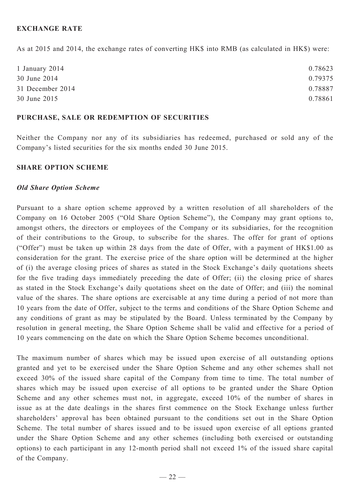# **EXCHANGE RATE**

As at 2015 and 2014, the exchange rates of converting HK\$ into RMB (as calculated in HK\$) were:

| 1 January 2014   | 0.78623 |
|------------------|---------|
| 30 June 2014     | 0.79375 |
| 31 December 2014 | 0.78887 |
| 30 June 2015     | 0.78861 |

#### **PURCHASE, SALE OR REDEMPTION OF SECURITIES**

Neither the Company nor any of its subsidiaries has redeemed, purchased or sold any of the Company's listed securities for the six months ended 30 June 2015.

### **SHARE OPTION SCHEME**

### *Old Share Option Scheme*

Pursuant to a share option scheme approved by a written resolution of all shareholders of the Company on 16 October 2005 ("Old Share Option Scheme"), the Company may grant options to, amongst others, the directors or employees of the Company or its subsidiaries, for the recognition of their contributions to the Group, to subscribe for the shares. The offer for grant of options ("Offer") must be taken up within 28 days from the date of Offer, with a payment of HK\$1.00 as consideration for the grant. The exercise price of the share option will be determined at the higher of (i) the average closing prices of shares as stated in the Stock Exchange's daily quotations sheets for the five trading days immediately preceding the date of Offer; (ii) the closing price of shares as stated in the Stock Exchange's daily quotations sheet on the date of Offer; and (iii) the nominal value of the shares. The share options are exercisable at any time during a period of not more than 10 years from the date of Offer, subject to the terms and conditions of the Share Option Scheme and any conditions of grant as may be stipulated by the Board. Unless terminated by the Company by resolution in general meeting, the Share Option Scheme shall be valid and effective for a period of 10 years commencing on the date on which the Share Option Scheme becomes unconditional.

The maximum number of shares which may be issued upon exercise of all outstanding options granted and yet to be exercised under the Share Option Scheme and any other schemes shall not exceed 30% of the issued share capital of the Company from time to time. The total number of shares which may be issued upon exercise of all options to be granted under the Share Option Scheme and any other schemes must not, in aggregate, exceed 10% of the number of shares in issue as at the date dealings in the shares first commence on the Stock Exchange unless further shareholders' approval has been obtained pursuant to the conditions set out in the Share Option Scheme. The total number of shares issued and to be issued upon exercise of all options granted under the Share Option Scheme and any other schemes (including both exercised or outstanding options) to each participant in any 12-month period shall not exceed 1% of the issued share capital of the Company.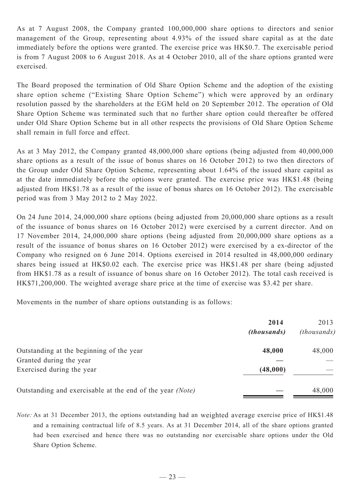As at 7 August 2008, the Company granted 100,000,000 share options to directors and senior management of the Group, representing about 4.93% of the issued share capital as at the date immediately before the options were granted. The exercise price was HK\$0.7. The exercisable period is from 7 August 2008 to 6 August 2018. As at 4 October 2010, all of the share options granted were exercised.

The Board proposed the termination of Old Share Option Scheme and the adoption of the existing share option scheme ("Existing Share Option Scheme") which were approved by an ordinary resolution passed by the shareholders at the EGM held on 20 September 2012. The operation of Old Share Option Scheme was terminated such that no further share option could thereafter be offered under Old Share Option Scheme but in all other respects the provisions of Old Share Option Scheme shall remain in full force and effect.

As at 3 May 2012, the Company granted 48,000,000 share options (being adjusted from 40,000,000 share options as a result of the issue of bonus shares on 16 October 2012) to two then directors of the Group under Old Share Option Scheme, representing about 1.64% of the issued share capital as at the date immediately before the options were granted. The exercise price was HK\$1.48 (being adjusted from HK\$1.78 as a result of the issue of bonus shares on 16 October 2012). The exercisable period was from 3 May 2012 to 2 May 2022.

On 24 June 2014, 24,000,000 share options (being adjusted from 20,000,000 share options as a result of the issuance of bonus shares on 16 October 2012) were exercised by a current director. And on 17 November 2014, 24,000,000 share options (being adjusted from 20,000,000 share options as a result of the issuance of bonus shares on 16 October 2012) were exercised by a ex-director of the Company who resigned on 6 June 2014. Options exercised in 2014 resulted in 48,000,000 ordinary shares being issued at HK\$0.02 each. The exercise price was HK\$1.48 per share (being adjusted from HK\$1.78 as a result of issuance of bonus share on 16 October 2012). The total cash received is HK\$71,200,000. The weighted average share price at the time of exercise was \$3.42 per share.

Movements in the number of share options outstanding is as follows:

|                                                           | 2014<br><i>(thousands)</i> | 2013<br>(thousands) |
|-----------------------------------------------------------|----------------------------|---------------------|
| Outstanding at the beginning of the year                  | 48,000                     | 48,000              |
| Granted during the year                                   |                            |                     |
| Exercised during the year                                 | (48,000)                   |                     |
| Outstanding and exercisable at the end of the year (Note) |                            | 48,000              |

*Note:* As at 31 December 2013, the options outstanding had an weighted average exercise price of HK\$1.48 and a remaining contractual life of 8.5 years. As at 31 December 2014, all of the share options granted had been exercised and hence there was no outstanding nor exercisable share options under the Old Share Option Scheme.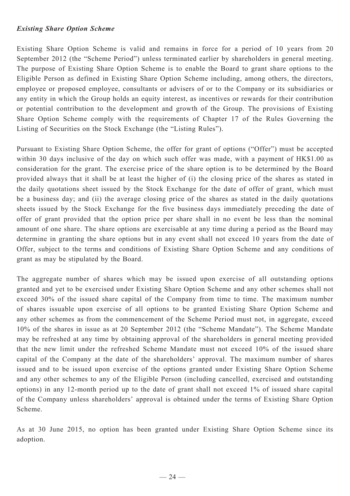# *Existing Share Option Scheme*

Existing Share Option Scheme is valid and remains in force for a period of 10 years from 20 September 2012 (the "Scheme Period") unless terminated earlier by shareholders in general meeting. The purpose of Existing Share Option Scheme is to enable the Board to grant share options to the Eligible Person as defined in Existing Share Option Scheme including, among others, the directors, employee or proposed employee, consultants or advisers of or to the Company or its subsidiaries or any entity in which the Group holds an equity interest, as incentives or rewards for their contribution or potential contribution to the development and growth of the Group. The provisions of Existing Share Option Scheme comply with the requirements of Chapter 17 of the Rules Governing the Listing of Securities on the Stock Exchange (the "Listing Rules").

Pursuant to Existing Share Option Scheme, the offer for grant of options ("Offer") must be accepted within 30 days inclusive of the day on which such offer was made, with a payment of HK\$1.00 as consideration for the grant. The exercise price of the share option is to be determined by the Board provided always that it shall be at least the higher of (i) the closing price of the shares as stated in the daily quotations sheet issued by the Stock Exchange for the date of offer of grant, which must be a business day; and (ii) the average closing price of the shares as stated in the daily quotations sheets issued by the Stock Exchange for the five business days immediately preceding the date of offer of grant provided that the option price per share shall in no event be less than the nominal amount of one share. The share options are exercisable at any time during a period as the Board may determine in granting the share options but in any event shall not exceed 10 years from the date of Offer, subject to the terms and conditions of Existing Share Option Scheme and any conditions of grant as may be stipulated by the Board.

The aggregate number of shares which may be issued upon exercise of all outstanding options granted and yet to be exercised under Existing Share Option Scheme and any other schemes shall not exceed 30% of the issued share capital of the Company from time to time. The maximum number of shares issuable upon exercise of all options to be granted Existing Share Option Scheme and any other schemes as from the commencement of the Scheme Period must not, in aggregate, exceed 10% of the shares in issue as at 20 September 2012 (the "Scheme Mandate"). The Scheme Mandate may be refreshed at any time by obtaining approval of the shareholders in general meeting provided that the new limit under the refreshed Scheme Mandate must not exceed 10% of the issued share capital of the Company at the date of the shareholders' approval. The maximum number of shares issued and to be issued upon exercise of the options granted under Existing Share Option Scheme and any other schemes to any of the Eligible Person (including cancelled, exercised and outstanding options) in any 12-month period up to the date of grant shall not exceed 1% of issued share capital of the Company unless shareholders' approval is obtained under the terms of Existing Share Option Scheme.

As at 30 June 2015, no option has been granted under Existing Share Option Scheme since its adoption.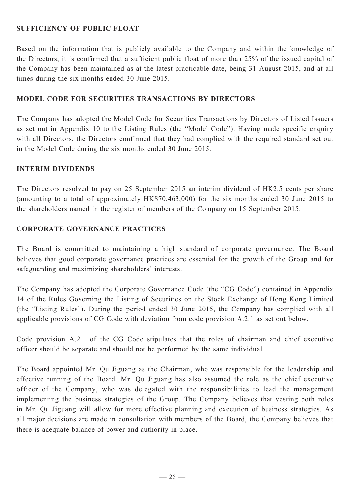# **SUFFICIENCY OF PUBLIC FLOAT**

Based on the information that is publicly available to the Company and within the knowledge of the Directors, it is confirmed that a sufficient public float of more than 25% of the issued capital of the Company has been maintained as at the latest practicable date, being 31 August 2015, and at all times during the six months ended 30 June 2015.

# **Model Code for Securities Transactions by Directors**

The Company has adopted the Model Code for Securities Transactions by Directors of Listed Issuers as set out in Appendix 10 to the Listing Rules (the "Model Code"). Having made specific enquiry with all Directors, the Directors confirmed that they had complied with the required standard set out in the Model Code during the six months ended 30 June 2015.

### **Interim DIVIDENDS**

The Directors resolved to pay on 25 September 2015 an interim dividend of HK2.5 cents per share (amounting to a total of approximately HK\$70,463,000) for the six months ended 30 June 2015 to the shareholders named in the register of members of the Company on 15 September 2015.

# **Corporate Governance Practices**

The Board is committed to maintaining a high standard of corporate governance. The Board believes that good corporate governance practices are essential for the growth of the Group and for safeguarding and maximizing shareholders' interests.

The Company has adopted the Corporate Governance Code (the "CG Code") contained in Appendix 14 of the Rules Governing the Listing of Securities on the Stock Exchange of Hong Kong Limited (the "Listing Rules"). During the period ended 30 June 2015, the Company has complied with all applicable provisions of CG Code with deviation from code provision A.2.1 as set out below.

Code provision A.2.1 of the CG Code stipulates that the roles of chairman and chief executive officer should be separate and should not be performed by the same individual.

The Board appointed Mr. Qu Jiguang as the Chairman, who was responsible for the leadership and effective running of the Board. Mr. Qu Jiguang has also assumed the role as the chief executive officer of the Company, who was delegated with the responsibilities to lead the management implementing the business strategies of the Group. The Company believes that vesting both roles in Mr. Qu Jiguang will allow for more effective planning and execution of business strategies. As all major decisions are made in consultation with members of the Board, the Company believes that there is adequate balance of power and authority in place.